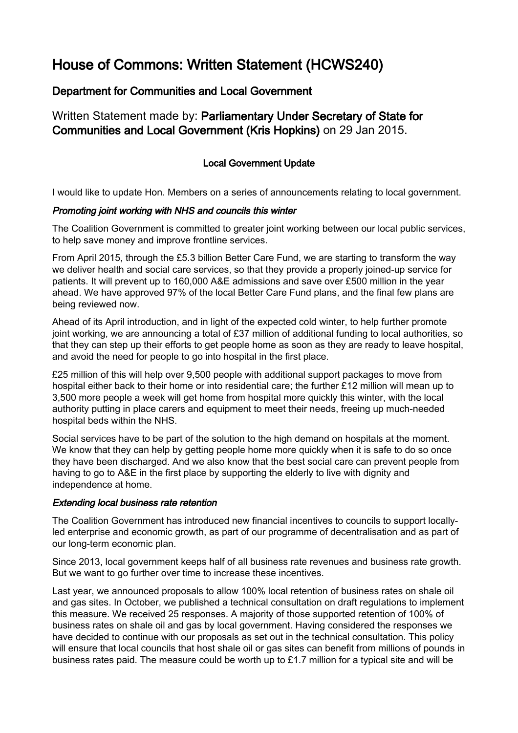# House of Commons: Written Statement (HCWS240)

## Department for Communities and Local Government

Written Statement made by: Parliamentary Under Secretary of State for Communities and Local Government (Kris Hopkins) on 29 Jan 2015.

## Local Government Update

I would like to update Hon. Members on a series of announcements relating to local government.

#### Promoting joint working with NHS and councils this winter

The Coalition Government is committed to greater joint working between our local public services, to help save money and improve frontline services.

From April 2015, through the £5.3 billion Better Care Fund, we are starting to transform the way we deliver health and social care services, so that they provide a properly joined-up service for patients. It will prevent up to 160,000 A&E admissions and save over £500 million in the year ahead. We have approved 97% of the local Better Care Fund plans, and the final few plans are being reviewed now.

Ahead of its April introduction, and in light of the expected cold winter, to help further promote joint working, we are announcing a total of £37 million of additional funding to local authorities, so that they can step up their efforts to get people home as soon as they are ready to leave hospital, and avoid the need for people to go into hospital in the first place.

£25 million of this will help over 9,500 people with additional support packages to move from hospital either back to their home or into residential care; the further £12 million will mean up to 3,500 more people a week will get home from hospital more quickly this winter, with the local authority putting in place carers and equipment to meet their needs, freeing up much-needed hospital beds within the NHS.

Social services have to be part of the solution to the high demand on hospitals at the moment. We know that they can help by getting people home more quickly when it is safe to do so once they have been discharged. And we also know that the best social care can prevent people from having to go to A&E in the first place by supporting the elderly to live with dignity and independence at home.

#### Extending local business rate retention

The Coalition Government has introduced new financial incentives to councils to support locallyled enterprise and economic growth, as part of our programme of decentralisation and as part of our long-term economic plan.

Since 2013, local government keeps half of all business rate revenues and business rate growth. But we want to go further over time to increase these incentives.

Last year, we announced proposals to allow 100% local retention of business rates on shale oil and gas sites. In October, we published a technical consultation on draft regulations to implement this measure. We received 25 responses. A majority of those supported retention of 100% of business rates on shale oil and gas by local government. Having considered the responses we have decided to continue with our proposals as set out in the technical consultation. This policy will ensure that local councils that host shale oil or gas sites can benefit from millions of pounds in business rates paid. The measure could be worth up to £1.7 million for a typical site and will be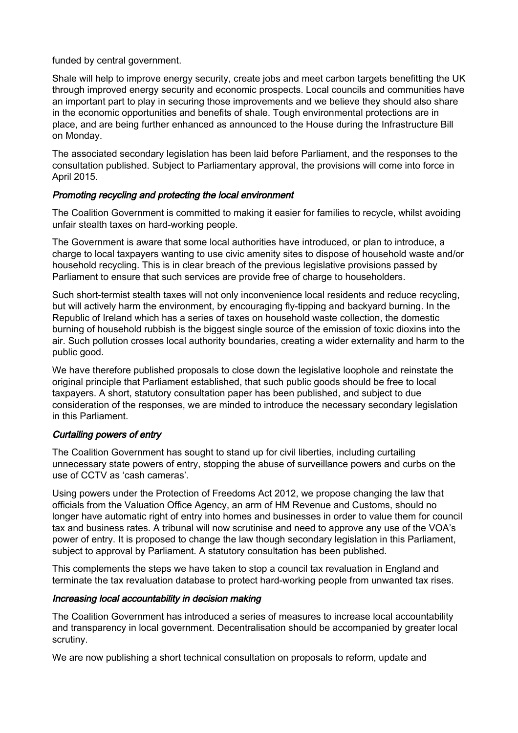funded by central government.

Shale will help to improve energy security, create jobs and meet carbon targets benefitting the UK through improved energy security and economic prospects. Local councils and communities have an important part to play in securing those improvements and we believe they should also share in the economic opportunities and benefits of shale. Tough environmental protections are in place, and are being further enhanced as announced to the House during the Infrastructure Bill on Monday.

The associated secondary legislation has been laid before Parliament, and the responses to the consultation published. Subject to Parliamentary approval, the provisions will come into force in April 2015.

## Promoting recycling and protecting the local environment

The Coalition Government is committed to making it easier for families to recycle, whilst avoiding unfair stealth taxes on hard-working people.

The Government is aware that some local authorities have introduced, or plan to introduce, a charge to local taxpayers wanting to use civic amenity sites to dispose of household waste and/or household recycling. This is in clear breach of the previous legislative provisions passed by Parliament to ensure that such services are provide free of charge to householders.

Such short-termist stealth taxes will not only inconvenience local residents and reduce recycling, but will actively harm the environment, by encouraging fly-tipping and backyard burning. In the Republic of Ireland which has a series of taxes on household waste collection, the domestic burning of household rubbish is the biggest single source of the emission of toxic dioxins into the air. Such pollution crosses local authority boundaries, creating a wider externality and harm to the public good.

We have therefore published proposals to close down the legislative loophole and reinstate the original principle that Parliament established, that such public goods should be free to local taxpayers. A short, statutory consultation paper has been published, and subject to due consideration of the responses, we are minded to introduce the necessary secondary legislation in this Parliament.

## Curtailing powers of entry

The Coalition Government has sought to stand up for civil liberties, including curtailing unnecessary state powers of entry, stopping the abuse of surveillance powers and curbs on the use of CCTV as 'cash cameras'.

Using powers under the Protection of Freedoms Act 2012, we propose changing the law that officials from the Valuation Office Agency, an arm of HM Revenue and Customs, should no longer have automatic right of entry into homes and businesses in order to value them for council tax and business rates. A tribunal will now scrutinise and need to approve any use of the VOA's power of entry. It is proposed to change the law though secondary legislation in this Parliament, subject to approval by Parliament. A statutory consultation has been published.

This complements the steps we have taken to stop a council tax revaluation in England and terminate the tax revaluation database to protect hard-working people from unwanted tax rises.

#### Increasing local accountability in decision making

The Coalition Government has introduced a series of measures to increase local accountability and transparency in local government. Decentralisation should be accompanied by greater local scrutiny.

We are now publishing a short technical consultation on proposals to reform, update and